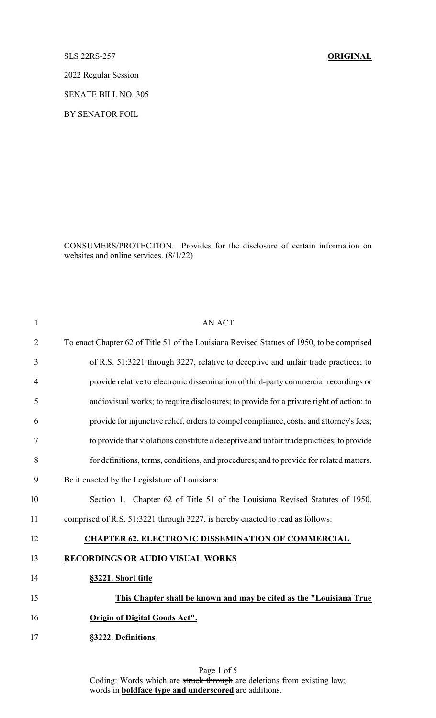SLS 22RS-257 **ORIGINAL**

2022 Regular Session

SENATE BILL NO. 305

BY SENATOR FOIL

CONSUMERS/PROTECTION. Provides for the disclosure of certain information on websites and online services. (8/1/22)

| $\mathbf{1}$   | <b>AN ACT</b>                                                                             |
|----------------|-------------------------------------------------------------------------------------------|
| $\overline{2}$ | To enact Chapter 62 of Title 51 of the Louisiana Revised Statues of 1950, to be comprised |
| 3              | of R.S. 51:3221 through 3227, relative to deceptive and unfair trade practices; to        |
| $\overline{4}$ | provide relative to electronic dissemination of third-party commercial recordings or      |
| 5              | audiovisual works; to require disclosures; to provide for a private right of action; to   |
| 6              | provide for injunctive relief, orders to compel compliance, costs, and attorney's fees;   |
| 7              | to provide that violations constitute a deceptive and unfair trade practices; to provide  |
| 8              | for definitions, terms, conditions, and procedures; and to provide for related matters.   |
| 9              | Be it enacted by the Legislature of Louisiana:                                            |
| 10             | Section 1. Chapter 62 of Title 51 of the Louisiana Revised Statutes of 1950,              |
| 11             | comprised of R.S. 51:3221 through 3227, is hereby enacted to read as follows:             |
| 12             | <b>CHAPTER 62. ELECTRONIC DISSEMINATION OF COMMERCIAL</b>                                 |
| 13             | <b>RECORDINGS OR AUDIO VISUAL WORKS</b>                                                   |
| 14             | §3221. Short title                                                                        |
| 15             | This Chapter shall be known and may be cited as the "Louisiana True                       |
| 16             | <b>Origin of Digital Goods Act".</b>                                                      |
| 17             | §3222. Definitions                                                                        |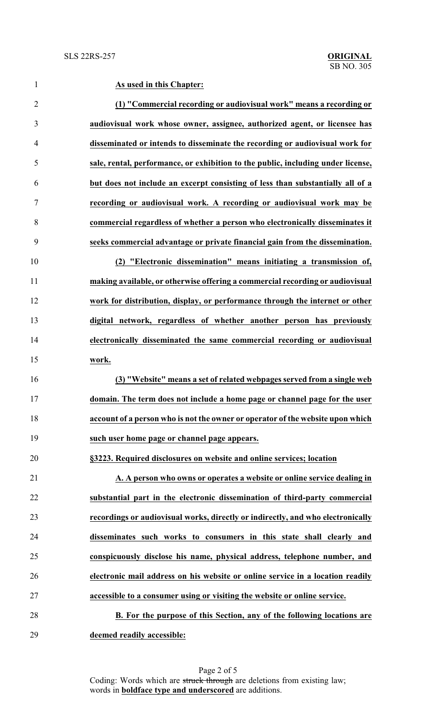**As used in this Chapter: (1) "Commercial recording or audiovisual work" means a recording or audiovisual work whose owner, assignee, authorized agent, or licensee has disseminated or intends to disseminate the recording or audiovisual work for sale, rental, performance, or exhibition to the public, including under license, but does not include an excerpt consisting of less than substantially all of a recording or audiovisual work. A recording or audiovisual work may be commercial regardless of whether a person who electronically disseminates it seeks commercial advantage or private financial gain from the dissemination. (2) "Electronic dissemination" means initiating a transmission of, making available, or otherwise offering a commercial recording or audiovisual work for distribution, display, or performance through the internet or other digital network, regardless of whether another person has previously electronically disseminated the same commercial recording or audiovisual work. (3) "Website" means a set of related webpages served from a single web domain. The term does not include a home page or channel page for the user account of a person who is not the owner or operator of the website upon which such user home page or channel page appears. §3223. Required disclosures on website and online services; location A. A person who owns or operates a website or online service dealing in substantial part in the electronic dissemination of third-party commercial recordings or audiovisual works, directly or indirectly, and who electronically disseminates such works to consumers in this state shall clearly and conspicuously disclose his name, physical address, telephone number, and electronic mail address on his website or online service in a location readily accessible to a consumer using or visiting the website or online service. B. For the purpose of this Section, any of the following locations are**

**deemed readily accessible:**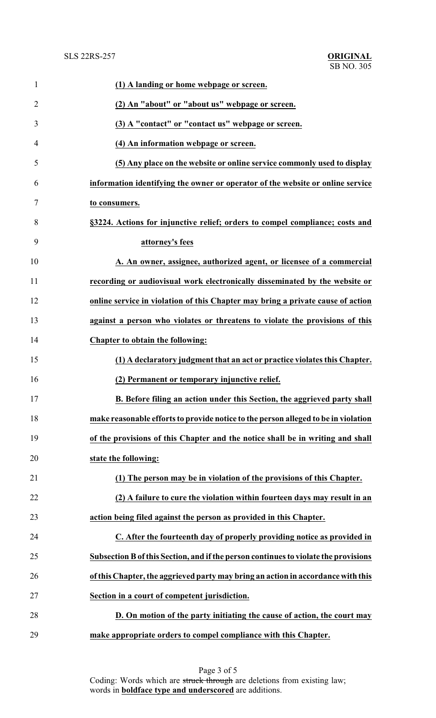| $\mathbf{1}$   | (1) A landing or home webpage or screen.                                            |
|----------------|-------------------------------------------------------------------------------------|
| $\overline{2}$ | (2) An "about" or "about us" webpage or screen.                                     |
| 3              | (3) A "contact" or "contact us" webpage or screen.                                  |
| 4              | (4) An information webpage or screen.                                               |
| 5              | (5) Any place on the website or online service commonly used to display             |
| 6              | information identifying the owner or operator of the website or online service      |
| 7              | to consumers.                                                                       |
| 8              | §3224. Actions for injunctive relief; orders to compel compliance; costs and        |
| 9              | attorney's fees                                                                     |
| 10             | A. An owner, assignee, authorized agent, or licensee of a commercial                |
| 11             | recording or audiovisual work electronically disseminated by the website or         |
| 12             | online service in violation of this Chapter may bring a private cause of action     |
| 13             | against a person who violates or threatens to violate the provisions of this        |
| 14             | Chapter to obtain the following:                                                    |
| 15             | (1) A declaratory judgment that an act or practice violates this Chapter.           |
| 16             | (2) Permanent or temporary injunctive relief.                                       |
| 17             | B. Before filing an action under this Section, the aggrieved party shall            |
| 18             | make reasonable efforts to provide notice to the person alleged to be in violation  |
| 19             | of the provisions of this Chapter and the notice shall be in writing and shall      |
| 20             | state the following:                                                                |
| 21             | (1) The person may be in violation of the provisions of this Chapter.               |
| 22             | (2) A failure to cure the violation within fourteen days may result in an           |
| 23             | action being filed against the person as provided in this Chapter.                  |
| 24             | C. After the fourteenth day of properly providing notice as provided in             |
| 25             | Subsection B of this Section, and if the person continues to violate the provisions |
| 26             | of this Chapter, the aggrieved party may bring an action in accordance with this    |
| 27             | Section in a court of competent jurisdiction.                                       |
| 28             | D. On motion of the party initiating the cause of action, the court may             |
| 29             | make appropriate orders to compel compliance with this Chapter.                     |

Page 3 of 5 Coding: Words which are struck through are deletions from existing law; words in **boldface type and underscored** are additions.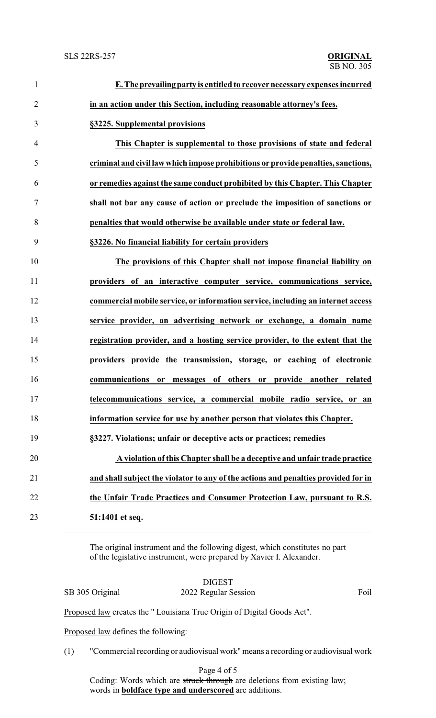| $\mathbf{1}$   | E. The prevailing party is entitled to recover necessary expenses incurred         |
|----------------|------------------------------------------------------------------------------------|
| $\overline{2}$ | in an action under this Section, including reasonable attorney's fees.             |
| 3              | §3225. Supplemental provisions                                                     |
| $\overline{4}$ | This Chapter is supplemental to those provisions of state and federal              |
| 5              | criminal and civil law which impose prohibitions or provide penalties, sanctions,  |
| 6              | or remedies against the same conduct prohibited by this Chapter. This Chapter      |
| $\tau$         | shall not bar any cause of action or preclude the imposition of sanctions or       |
| 8              | penalties that would otherwise be available under state or federal law.            |
| 9              | §3226. No financial liability for certain providers                                |
| 10             | The provisions of this Chapter shall not impose financial liability on             |
| 11             | providers of an interactive computer service, communications service,              |
| 12             | commercial mobile service, or information service, including an internet access    |
| 13             | service provider, an advertising network or exchange, a domain name                |
| 14             | registration provider, and a hosting service provider, to the extent that the      |
| 15             | providers provide the transmission, storage, or caching of electronic              |
| 16             | or messages of others or provide another related<br>communications                 |
| 17             | telecommunications service, a commercial mobile radio service, or an               |
| 18             | information service for use by another person that violates this Chapter.          |
| 19             | §3227. Violations; unfair or deceptive acts or practices; remedies                 |
| 20             | A violation of this Chapter shall be a deceptive and unfair trade practice         |
| 21             | and shall subject the violator to any of the actions and penalties provided for in |
| 22             | the Unfair Trade Practices and Consumer Protection Law, pursuant to R.S.           |
| 23             | 51:1401 et seq.                                                                    |
|                |                                                                                    |

The original instrument and the following digest, which constitutes no part of the legislative instrument, were prepared by Xavier I. Alexander.

|                                                                        | SB 305 Original | <b>DIGEST</b><br>2022 Regular Session |  |  |  |  | Foil |
|------------------------------------------------------------------------|-----------------|---------------------------------------|--|--|--|--|------|
| Proposed law creates the "Louisiana True Origin of Digital Goods Act". |                 |                                       |  |  |  |  |      |
| Proposed law defines the following:                                    |                 |                                       |  |  |  |  |      |
|                                                                        | (1)             |                                       |  |  |  |  |      |

(1) "Commercial recording or audiovisual work" means a recording or audiovisual work

Page 4 of 5 Coding: Words which are struck through are deletions from existing law; words in **boldface type and underscored** are additions.